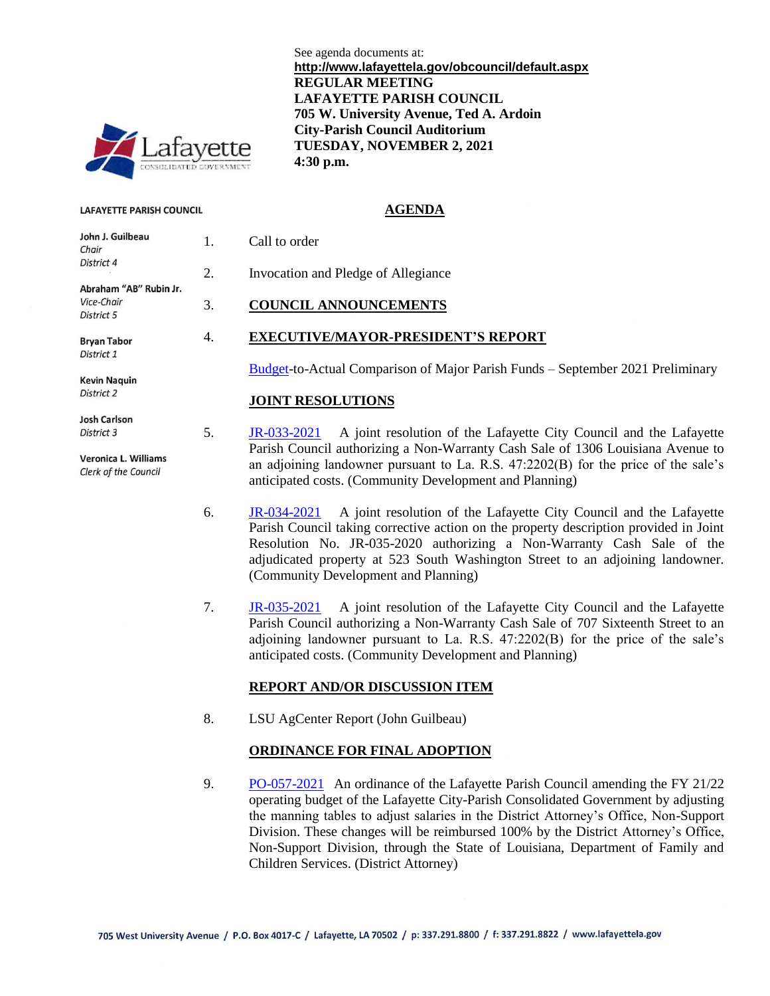

#### **LAFAYETTE PARISH COUNCIL**

| John J. Guilbeau            | 1  |  |
|-----------------------------|----|--|
| Chair                       |    |  |
| District 4                  | 2. |  |
| Abraham "AB" Rubin Jr.      |    |  |
| Vice-Chair                  | 3. |  |
| District 5                  |    |  |
| Bryan Tabor                 | 4  |  |
| District 1                  |    |  |
| <b>Kevin Naquin</b>         |    |  |
| District 2                  |    |  |
| <b>Josh Carlson</b>         |    |  |
| District 3                  | 5. |  |
| <b>Veronica L. Williams</b> |    |  |
| Clerk of the Council        |    |  |
|                             |    |  |
|                             | L  |  |

See agenda documents at: **http://www.lafayettela.gov/obcouncil/default.aspx REGULAR MEETING LAFAYETTE PARISH COUNCIL 705 W. University Avenue, Ted A. Ardoin City-Parish Council Auditorium TUESDAY, NOVEMBER 2, 2021 4:30 p.m.**

#### **AGENDA**

| 1. | Call to order |  |
|----|---------------|--|
|    |               |  |

2. Invocation and Pledge of Allegiance

### 3. **COUNCIL ANNOUNCEMENTS**

#### 4. **EXECUTIVE/MAYOR-PRESIDENT'S REPORT**

[Budget-](http://apps.lafayettela.gov/OBCouncil/ViewDocument.aspx?docID=2055403)to-Actual Comparison of Major Parish Funds – September 2021 Preliminary

#### **JOINT RESOLUTIONS**

5. [JR-033-2021](http://apps.lafayettela.gov/OBCouncil/ViewDocument.aspx?docID=2055429) A joint resolution of the Lafayette City Council and the Lafayette Parish Council authorizing a Non-Warranty Cash Sale of 1306 Louisiana Avenue to an adjoining landowner pursuant to La. R.S. 47:2202(B) for the price of the sale's anticipated costs. (Community Development and Planning)

- 6. [JR-034-2021](http://apps.lafayettela.gov/OBCouncil/ViewDocument.aspx?docID=2055406) A joint resolution of the Lafayette City Council and the Lafayette Parish Council taking corrective action on the property description provided in Joint Resolution No. JR-035-2020 authorizing a Non-Warranty Cash Sale of the adjudicated property at 523 South Washington Street to an adjoining landowner. (Community Development and Planning)
- 7. [JR-035-2021](http://apps.lafayettela.gov/OBCouncil/ViewDocument.aspx?docID=2055428) A joint resolution of the Lafayette City Council and the Lafayette Parish Council authorizing a Non-Warranty Cash Sale of 707 Sixteenth Street to an adjoining landowner pursuant to La. R.S. 47:2202(B) for the price of the sale's anticipated costs. (Community Development and Planning)

#### **REPORT AND/OR DISCUSSION ITEM**

8. LSU AgCenter Report (John Guilbeau)

#### **ORDINANCE FOR FINAL ADOPTION**

9. [PO-057-2021](http://apps.lafayettela.gov/OBCouncil/ViewDocument.aspx?docID=2055432) An ordinance of the Lafayette Parish Council amending the FY 21/22 operating budget of the Lafayette City-Parish Consolidated Government by adjusting the manning tables to adjust salaries in the District Attorney's Office, Non-Support Division. These changes will be reimbursed 100% by the District Attorney's Office, Non-Support Division, through the State of Louisiana, Department of Family and Children Services. (District Attorney)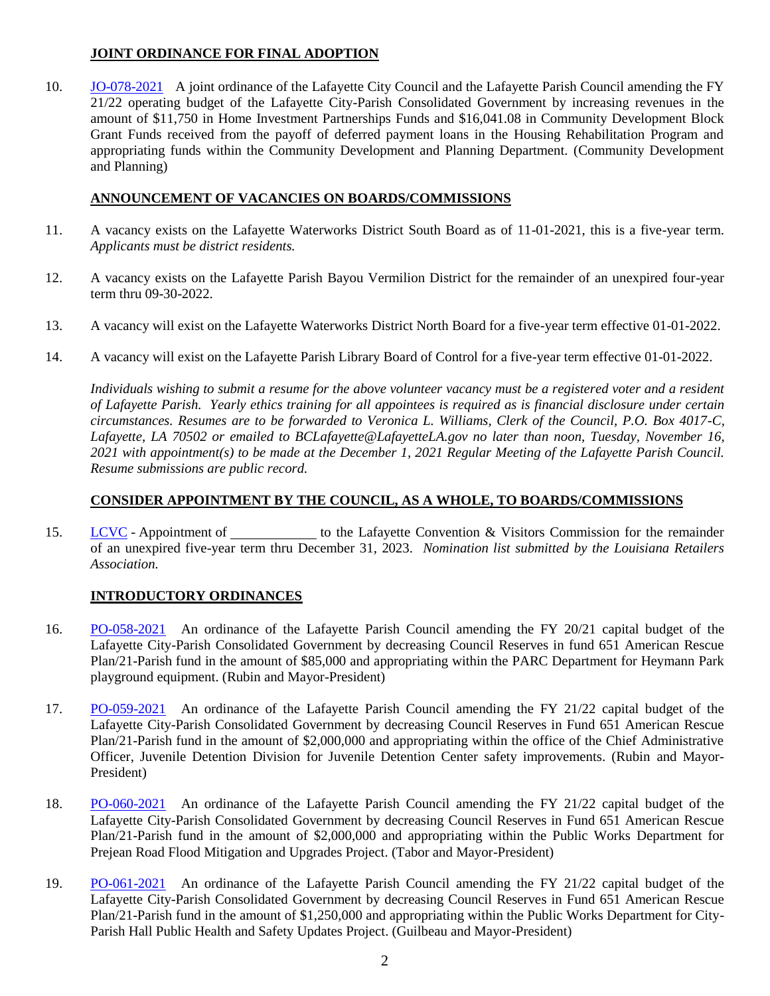# **JOINT ORDINANCE FOR FINAL ADOPTION**

10. [JO-078-2021](http://apps.lafayettela.gov/OBCouncil/ViewDocument.aspx?docID=2055434) A joint ordinance of the Lafayette City Council and the Lafayette Parish Council amending the FY 21/22 operating budget of the Lafayette City-Parish Consolidated Government by increasing revenues in the amount of \$11,750 in Home Investment Partnerships Funds and \$16,041.08 in Community Development Block Grant Funds received from the payoff of deferred payment loans in the Housing Rehabilitation Program and appropriating funds within the Community Development and Planning Department. (Community Development and Planning)

# **ANNOUNCEMENT OF VACANCIES ON BOARDS/COMMISSIONS**

- 11. A vacancy exists on the Lafayette Waterworks District South Board as of 11-01-2021, this is a five-year term. *Applicants must be district residents.*
- 12. A vacancy exists on the Lafayette Parish Bayou Vermilion District for the remainder of an unexpired four-year term thru 09-30-2022.
- 13. A vacancy will exist on the Lafayette Waterworks District North Board for a five-year term effective 01-01-2022.
- 14. A vacancy will exist on the Lafayette Parish Library Board of Control for a five-year term effective 01-01-2022.

*Individuals wishing to submit a resume for the above volunteer vacancy must be a registered voter and a resident of Lafayette Parish. Yearly ethics training for all appointees is required as is financial disclosure under certain circumstances. Resumes are to be forwarded to Veronica L. Williams, Clerk of the Council, P.O. Box 4017-C, Lafayette, LA 70502 or emailed to BCLafayette@LafayetteLA.gov no later than noon, Tuesday, November 16, 2021 with appointment(s) to be made at the December 1, 2021 Regular Meeting of the Lafayette Parish Council. Resume submissions are public record.*

## **CONSIDER APPOINTMENT BY THE COUNCIL, AS A WHOLE, TO BOARDS/COMMISSIONS**

15. [LCVC](http://apps.lafayettela.gov/OBCouncil/ViewDocument.aspx?docID=2055436) - Appointment of the Lafayette Convention & Visitors Commission for the remainder of an unexpired five-year term thru December 31, 2023. *Nomination list submitted by the Louisiana Retailers Association.*

# **INTRODUCTORY ORDINANCES**

- 16. [PO-058-2021](http://apps.lafayettela.gov/OBCouncil/ViewDocument.aspx?docID=2055443) An ordinance of the Lafayette Parish Council amending the FY 20/21 capital budget of the Lafayette City-Parish Consolidated Government by decreasing Council Reserves in fund 651 American Rescue Plan/21-Parish fund in the amount of \$85,000 and appropriating within the PARC Department for Heymann Park playground equipment. (Rubin and Mayor-President)
- 17. [PO-059-2021](http://apps.lafayettela.gov/OBCouncil/ViewDocument.aspx?docID=2055446) An ordinance of the Lafayette Parish Council amending the FY 21/22 capital budget of the Lafayette City-Parish Consolidated Government by decreasing Council Reserves in Fund 651 American Rescue Plan/21-Parish fund in the amount of \$2,000,000 and appropriating within the office of the Chief Administrative Officer, Juvenile Detention Division for Juvenile Detention Center safety improvements. (Rubin and Mayor-President)
- 18. [PO-060-2021](http://apps.lafayettela.gov/OBCouncil/ViewDocument.aspx?docID=2055438) An ordinance of the Lafayette Parish Council amending the FY 21/22 capital budget of the Lafayette City-Parish Consolidated Government by decreasing Council Reserves in Fund 651 American Rescue Plan/21-Parish fund in the amount of \$2,000,000 and appropriating within the Public Works Department for Prejean Road Flood Mitigation and Upgrades Project. (Tabor and Mayor-President)
- 19. [PO-061-2021](http://apps.lafayettela.gov/OBCouncil/ViewDocument.aspx?docID=2055439) An ordinance of the Lafayette Parish Council amending the FY 21/22 capital budget of the Lafayette City-Parish Consolidated Government by decreasing Council Reserves in Fund 651 American Rescue Plan/21-Parish fund in the amount of \$1,250,000 and appropriating within the Public Works Department for City-Parish Hall Public Health and Safety Updates Project. (Guilbeau and Mayor-President)